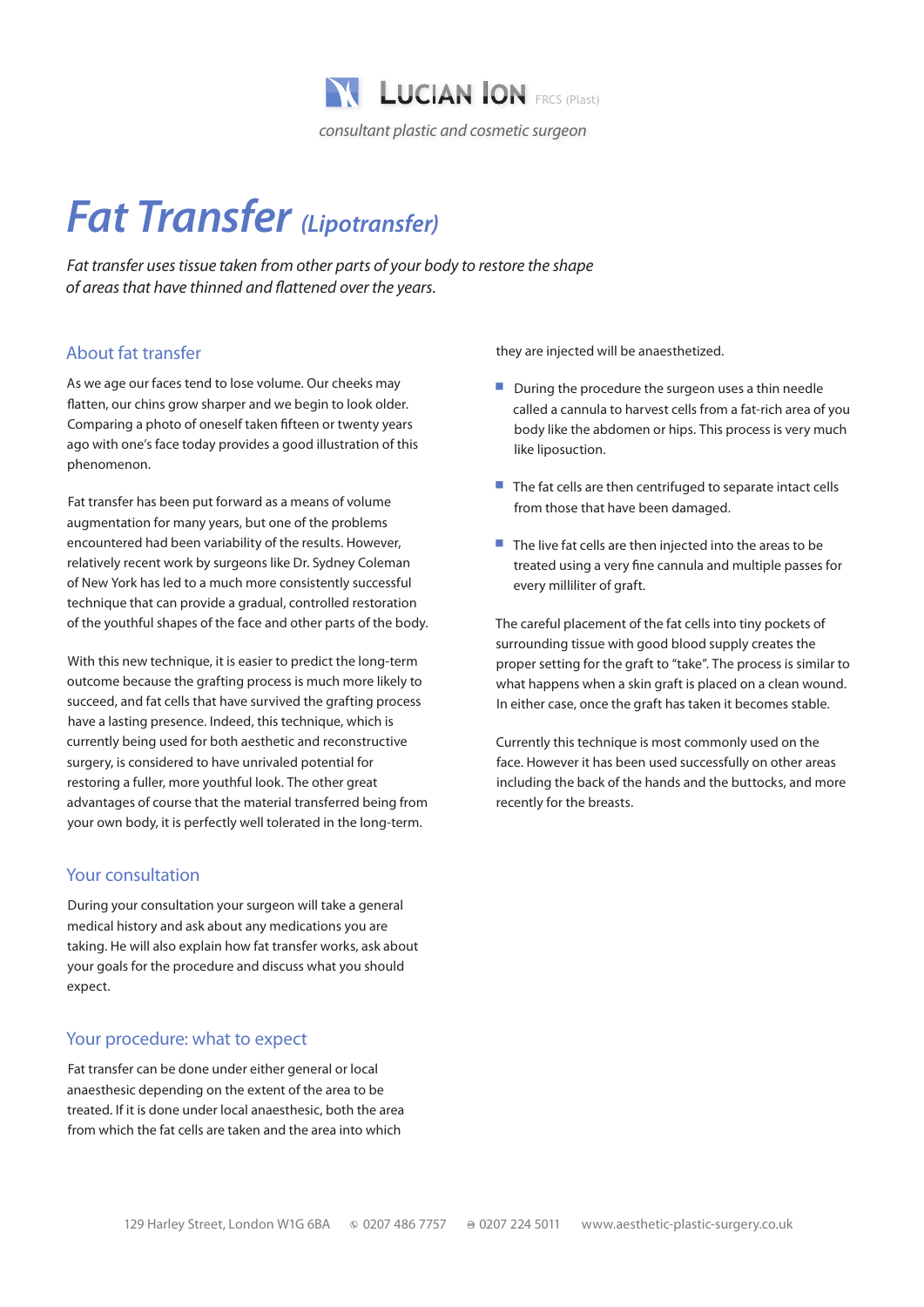

# *Fat Transfer (Lipotransfer)*

*Fat transfer uses tissue taken from other parts of your body to restore the shape of areas that have thinned and flattened over the years.*

## About fat transfer

As we age our faces tend to lose volume. Our cheeks may flatten, our chins grow sharper and we begin to look older. Comparing a photo of oneself taken fifteen or twenty years ago with one's face today provides a good illustration of this phenomenon.

Fat transfer has been put forward as a means of volume augmentation for many years, but one of the problems encountered had been variability of the results. However, relatively recent work by surgeons like Dr. Sydney Coleman of New York has led to a much more consistently successful technique that can provide a gradual, controlled restoration of the youthful shapes of the face and other parts of the body.

With this new technique, it is easier to predict the long-term outcome because the grafting process is much more likely to succeed, and fat cells that have survived the grafting process have a lasting presence. Indeed, this technique, which is currently being used for both aesthetic and reconstructive surgery, is considered to have unrivaled potential for restoring a fuller, more youthful look. The other great advantages of course that the material transferred being from your own body, it is perfectly well tolerated in the long-term.

#### Your consultation

During your consultation your surgeon will take a general medical history and ask about any medications you are taking. He will also explain how fat transfer works, ask about your goals for the procedure and discuss what you should expect.

#### Your procedure: what to expect

Fat transfer can be done under either general or local anaesthesic depending on the extent of the area to be treated. If it is done under local anaesthesic, both the area from which the fat cells are taken and the area into which

they are injected will be anaesthetized.

- $\blacksquare$  During the procedure the surgeon uses a thin needle called a cannula to harvest cells from a fat-rich area of you body like the abdomen or hips. This process is very much like liposuction.
- $\blacksquare$  The fat cells are then centrifuged to separate intact cells from those that have been damaged.
- $\blacksquare$  The live fat cells are then injected into the areas to be treated using a very fine cannula and multiple passes for every milliliter of graft.

The careful placement of the fat cells into tiny pockets of surrounding tissue with good blood supply creates the proper setting for the graft to "take". The process is similar to what happens when a skin graft is placed on a clean wound. In either case, once the graft has taken it becomes stable.

Currently this technique is most commonly used on the face. However it has been used successfully on other areas including the back of the hands and the buttocks, and more recently for the breasts.